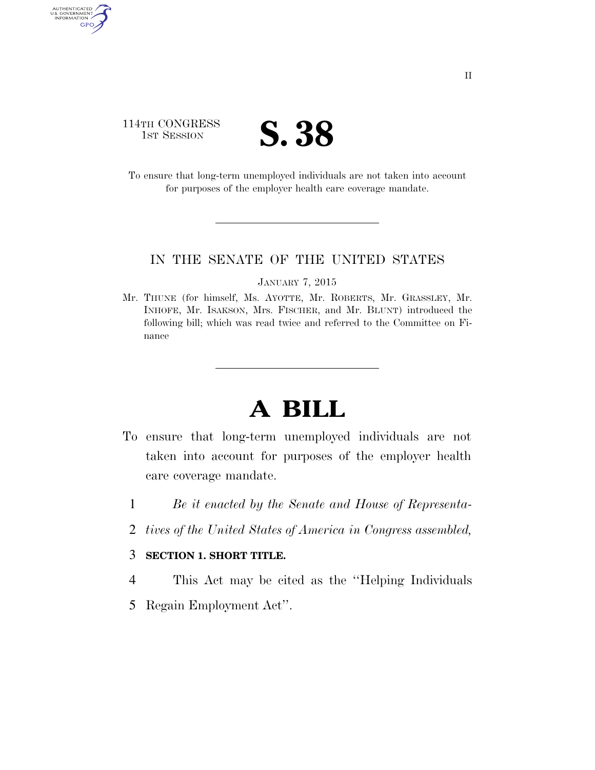# 114TH CONGRESS **IST SESSION S. 38**

AUTHENTICATED<br>U.S. GOVERNMENT<br>INFORMATION

**GPO** 

To ensure that long-term unemployed individuals are not taken into account for purposes of the employer health care coverage mandate.

## IN THE SENATE OF THE UNITED STATES

#### JANUARY 7, 2015

Mr. THUNE (for himself, Ms. AYOTTE, Mr. ROBERTS, Mr. GRASSLEY, Mr. INHOFE, Mr. ISAKSON, Mrs. FISCHER, and Mr. BLUNT) introduced the following bill; which was read twice and referred to the Committee on Finance

# **A BILL**

- To ensure that long-term unemployed individuals are not taken into account for purposes of the employer health care coverage mandate.
	- 1 *Be it enacted by the Senate and House of Representa-*
	- 2 *tives of the United States of America in Congress assembled,*

## 3 **SECTION 1. SHORT TITLE.**

- 4 This Act may be cited as the ''Helping Individuals
- 5 Regain Employment Act''.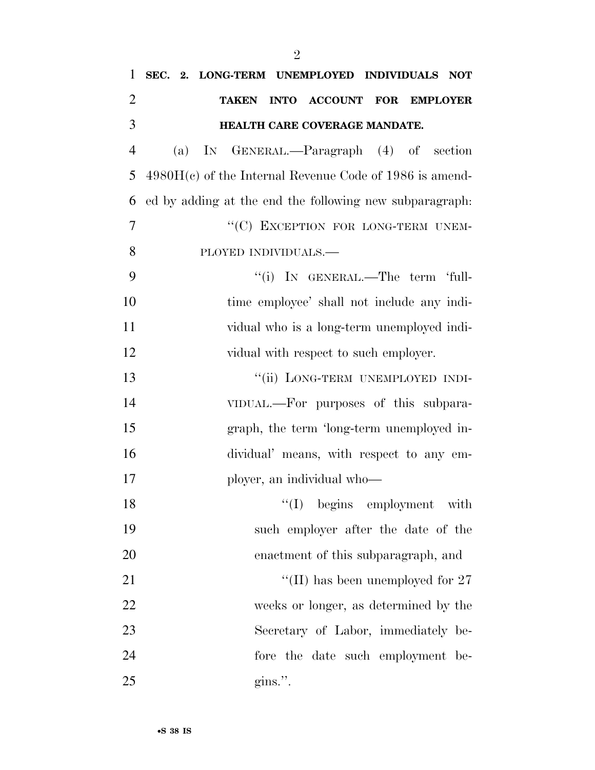| $\mathbf{1}$   |     | SEC. 2. LONG-TERM UNEMPLOYED INDIVIDUALS NOT              |
|----------------|-----|-----------------------------------------------------------|
| $\overline{2}$ |     | INTO ACCOUNT FOR EMPLOYER<br><b>TAKEN</b>                 |
| 3              |     | HEALTH CARE COVERAGE MANDATE.                             |
| $\overline{4}$ | (a) | IN GENERAL.—Paragraph (4) of section                      |
| 5              |     | $4980H(c)$ of the Internal Revenue Code of 1986 is amend- |
| 6              |     | ed by adding at the end the following new subparagraph.   |
| 7              |     | "(C) EXCEPTION FOR LONG-TERM UNEM-                        |
| 8              |     | PLOYED INDIVIDUALS.-                                      |
| 9              |     | "(i) IN GENERAL.—The term 'full-                          |
| 10             |     | time employee' shall not include any indi-                |
| 11             |     | vidual who is a long-term unemployed indi-                |
| 12             |     | vidual with respect to such employer.                     |
| 13             |     | "(ii) LONG-TERM UNEMPLOYED INDI-                          |
| 14             |     | VIDUAL.—For purposes of this subpara-                     |
| 15             |     | graph, the term 'long-term unemployed in-                 |
| 16             |     | dividual' means, with respect to any em-                  |
| 17             |     | ployer, an individual who—                                |
| 18             |     | $\lq(1)$ begins employment with                           |
| 19             |     | such employer after the date of the                       |
| 20             |     | enactment of this subparagraph, and                       |
| 21             |     | "(II) has been unemployed for $27$                        |
| 22             |     | weeks or longer, as determined by the                     |
| 23             |     | Secretary of Labor, immediately be-                       |
| 24             |     | fore the date such employment be-                         |
| 25             |     | $\gamma$ gins.".                                          |